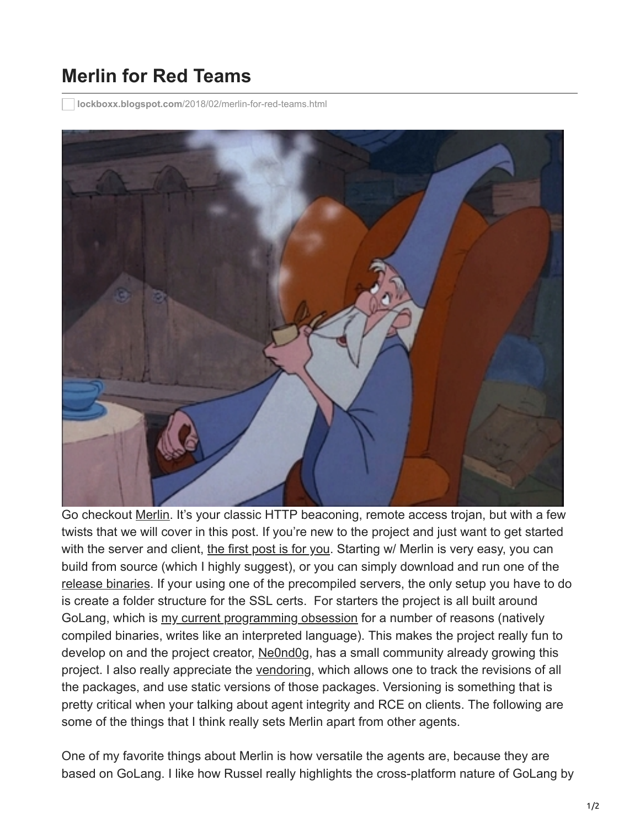## **Merlin for Red Teams**

**lockboxx.blogspot.com**[/2018/02/merlin-for-red-teams.html](http://lockboxx.blogspot.com/2018/02/merlin-for-red-teams.html)



Go checkout [Merlin](https://github.com/Ne0nd0g/merlin). It's your classic HTTP beaconing, remote access trojan, but with a few twists that we will cover in this post. If you're new to the project and just want to get started with the server and client, [the first post is for you.](https://medium.com/@Ne0nd0g/introducing-merlin-645da3c635a) Starting w/ Merlin is very easy, you can build from source (which I highly suggest), or you can simply download and run one of the [release binaries.](https://github.com/Ne0nd0g/merlin/releases) If your using one of the precompiled servers, the only setup you have to do is create a folder structure for the SSL certs. For starters the project is all built around GoLang, which is [my current programming obsession](http://lockboxx.blogspot.com/2017/11/golang-scripting-glse-and-gscript.html) for a number of reasons (natively compiled binaries, writes like an interpreted language). This makes the project really fun to develop on and the project creator, [Ne0nd0g,](https://twitter.com/ne0nd0g) has a small community already growing this project. I also really appreciate the [vendoring,](https://github.com/Ne0nd0g/merlin/blob/master/vendor/vendor.json) which allows one to track the revisions of all the packages, and use static versions of those packages. Versioning is something that is pretty critical when your talking about agent integrity and RCE on clients. The following are some of the things that I think really sets Merlin apart from other agents.

One of my favorite things about Merlin is how versatile the agents are, because they are based on GoLang. I like how Russel really highlights the cross-platform nature of GoLang by